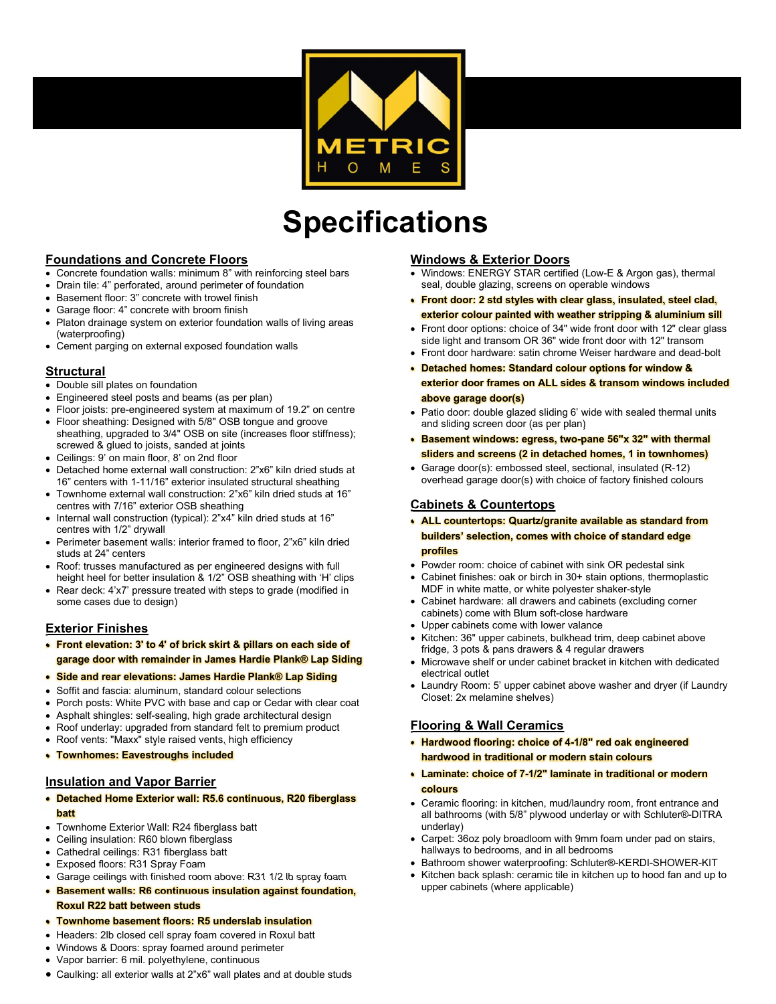

# Specifications

# Foundations and Concrete Floors

- Concrete foundation walls: minimum 8" with reinforcing steel bars
- Drain tile: 4" perforated, around perimeter of foundation
- Basement floor: 3" concrete with trowel finish
- Garage floor: 4" concrete with broom finish
- Platon drainage system on exterior foundation walls of living areas (waterproofing)
- Cement parging on external exposed foundation walls

# **Structural**

- Double sill plates on foundation
- Engineered steel posts and beams (as per plan)
- Floor joists: pre-engineered system at maximum of 19.2" on centre
- Floor sheathing: Designed with 5/8" OSB tongue and groove sheathing, upgraded to 3/4" OSB on site (increases floor stiffness); screwed & glued to joists, sanded at joints
- Ceilings: 9' on main floor, 8' on 2nd floor
- Detached home external wall construction: 2"x6" kiln dried studs at 16" centers with 1-11/16" exterior insulated structural sheathing
- Townhome external wall construction: 2"x6" kiln dried studs at 16" centres with 7/16" exterior OSB sheathing
- Internal wall construction (typical): 2"x4" kiln dried studs at 16" centres with 1/2" drywall
- Perimeter basement walls: interior framed to floor, 2"x6" kiln dried studs at 24" centers
- Roof: trusses manufactured as per engineered designs with full height heel for better insulation & 1/2" OSB sheathing with 'H' clips
- Rear deck: 4'x7' pressure treated with steps to grade (modified in some cases due to design)

## Exterior Finishes

- Front elevation: 3' to 4' of brick skirt & pillars on each side of garage door with remainder in James Hardie Plank® Lap Siding
- Side and rear elevations: James Hardie Plank® Lap Siding
- Soffit and fascia: aluminum, standard colour selections
- Porch posts: White PVC with base and cap or Cedar with clear coat
- Asphalt shingles: self-sealing, high grade architectural design
- Roof underlay: upgraded from standard felt to premium product
- Roof vents: "Maxx" style raised vents, high efficiency
- Townhomes: Eavestroughs included

## Insulation and Vapor Barrier

- Detached Home Exterior wall: R5.6 continuous, R20 fiberglass batt
- Townhome Exterior Wall: R24 fiberglass batt
- Ceiling insulation: R60 blown fiberglass
- Cathedral ceilings: R31 fiberglass batt
- Exposed floors: R31 Spray Foam
- Garage ceilings with finished room above: R31 1/2 lb spray foam
- Basement walls: R6 continuous insulation against foundation, Roxul R22 batt between studs

#### Townhome basement floors: R5 underslab insulation

- Headers: 2lb closed cell spray foam covered in Roxul batt
- Windows & Doors: spray foamed around perimeter
- Vapor barrier: 6 mil. polyethylene, continuous
- Caulking: all exterior walls at 2"x6" wall plates and at double studs

# Windows & Exterior Doors

 Windows: ENERGY STAR certified (Low-E & Argon gas), thermal seal, double glazing, screens on operable windows

l

- Front door: 2 std styles with clear glass, insulated, steel clad, exterior colour painted with weather stripping & aluminium sill
- Front door options: choice of 34" wide front door with 12" clear glass side light and transom OR 36" wide front door with 12" transom
- Front door hardware: satin chrome Weiser hardware and dead-bolt
- Detached homes: Standard colour options for window & exterior door frames on ALL sides & transom windows included above garage door(s)
- Patio door: double glazed sliding 6' wide with sealed thermal units and sliding screen door (as per plan)
- Basement windows: egress, two-pane 56"x 32" with thermal sliders and screens (2 in detached homes, 1 in townhomes)
- Garage door(s): embossed steel, sectional, insulated (R-12) overhead garage door(s) with choice of factory finished colours

## Cabinets & Countertops

- ALL countertops: Quartz/granite available as standard from builders' selection, comes with choice of standard edge profiles
- Powder room: choice of cabinet with sink OR pedestal sink
- Cabinet finishes: oak or birch in 30+ stain options, thermoplastic MDF in white matte, or white polyester shaker-style
- Cabinet hardware: all drawers and cabinets (excluding corner cabinets) come with Blum soft-close hardware
- Upper cabinets come with lower valance
- Kitchen: 36" upper cabinets, bulkhead trim, deep cabinet above fridge, 3 pots & pans drawers & 4 regular drawers
- Microwave shelf or under cabinet bracket in kitchen with dedicated electrical outlet
- Laundry Room: 5' upper cabinet above washer and dryer (if Laundry Closet: 2x melamine shelves)

# Flooring & Wall Ceramics

- Hardwood flooring: choice of 4-1/8" red oak engineered hardwood in traditional or modern stain colours
- Laminate: choice of 7-1/2" laminate in traditional or modern colours
- Ceramic flooring: in kitchen, mud/laundry room, front entrance and all bathrooms (with 5/8" plywood underlay or with Schluter®-DITRA underlay)
- Carpet: 36oz poly broadloom with 9mm foam under pad on stairs, hallways to bedrooms, and in all bedrooms
- Bathroom shower waterproofing: Schluter®-KERDI-SHOWER-KIT
- Kitchen back splash: ceramic tile in kitchen up to hood fan and up to upper cabinets (where applicable)